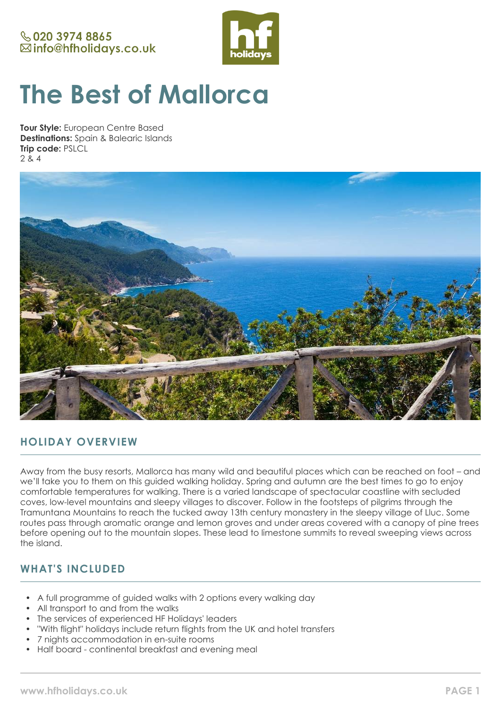

# **The Best of Mallorca**

**Tour Style:** European Centre Based **Destinations:** Spain & Balearic Islands **Trip code:** PSLCL 2 & 4



## **HOLIDAY OVERVIEW**

Away from the busy resorts, Mallorca has many wild and beautiful places which can be reached on foot – and we'll take you to them on this guided walking holiday. Spring and autumn are the best times to go to enjoy comfortable temperatures for walking. There is a varied landscape of spectacular coastline with secluded coves, low-level mountains and sleepy villages to discover. Follow in the footsteps of pilgrims through the Tramuntana Mountains to reach the tucked away 13th century monastery in the sleepy village of Lluc. Some routes pass through aromatic orange and lemon groves and under areas covered with a canopy of pine trees before opening out to the mountain slopes. These lead to limestone summits to reveal sweeping views across the island.

## **WHAT'S INCLUDED**

- A full programme of guided walks with 2 options every walking day
- All transport to and from the walks
- The services of experienced HF Holidays' leaders
- "With flight" holidays include return flights from the UK and hotel transfers
- 7 nights accommodation in en-suite rooms
- Half board continental breakfast and evening meal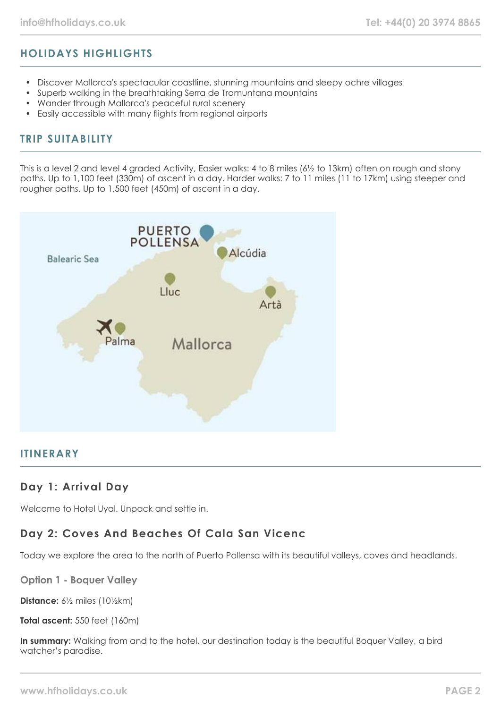# **HOLIDAYS HIGHLIGHTS**

- Discover Mallorca's spectacular coastline, stunning mountains and sleepy ochre villages
- Superb walking in the breathtaking Serra de Tramuntana mountains
- Wander through Mallorca's peaceful rural scenery
- Easily accessible with many flights from regional airports

#### **TRIP SUITABILITY**

This is a level 2 and level 4 graded Activity, Easier walks: 4 to 8 miles (6½ to 13km) often on rough and stony paths. Up to 1,100 feet (330m) of ascent in a day. Harder walks: 7 to 11 miles (11 to 17km) using steeper and rougher paths. Up to 1,500 feet (450m) of ascent in a day.



#### **ITINERARY**

#### **Day 1: Arrival Day**

Welcome to Hotel Uyal. Unpack and settle in.

# **Day 2: Coves And Beaches Of Cala San Vicenc**

Today we explore the area to the north of Puerto Pollensa with its beautiful valleys, coves and headlands.

**Option 1 - Boquer Valley**

**Distance:** 6½ miles (10½km)

**Total ascent:** 550 feet (160m)

**In summary:** Walking from and to the hotel, our destination today is the beautiful Boquer Valley, a bird watcher's paradise.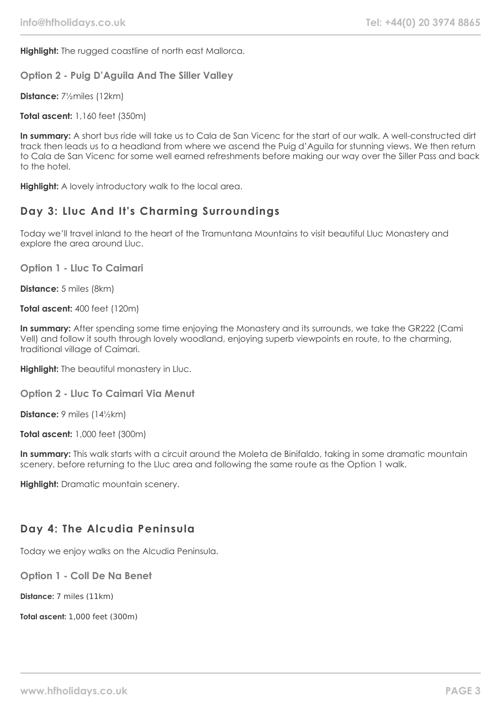**Highlight:** The rugged coastline of north east Mallorca.

**Option 2 - Puig D'Aguila And The Siller Valley**

**Distance:** 7½miles (12km)

**Total ascent:** 1,160 feet (350m)

**In summary:** A short bus ride will take us to Cala de San Vicenc for the start of our walk. A well-constructed dirt track then leads us to a headland from where we ascend the Puig d'Aguila for stunning views. We then return to Cala de San Vicenc for some well earned refreshments before making our way over the Siller Pass and back to the hotel.

**Highlight:** A lovely introductory walk to the local area.

## **Day 3: Lluc And It's Charming Surroundings**

Today we'll travel inland to the heart of the Tramuntana Mountains to visit beautiful Lluc Monastery and explore the area around Lluc.

**Option 1 - Lluc To Caimari**

**Distance:** 5 miles (8km)

**Total ascent:** 400 feet (120m)

**In summary:** After spending some time enjoying the Monastery and its surrounds, we take the GR222 (Cami Vell) and follow it south through lovely woodland, enjoying superb viewpoints en route, to the charming, traditional village of Caimari.

**Highlight:** The beautiful monastery in Lluc.

**Option 2 - Lluc To Caimari Via Menut**

**Distance:** 9 miles (14½km)

**Total ascent:** 1,000 feet (300m)

**In summary:** This walk starts with a circuit around the Moleta de Binifaldo, taking in some dramatic mountain scenery, before returning to the Lluc area and following the same route as the Option 1 walk.

**Highlight:** Dramatic mountain scenery.

#### **Day 4: The Alcudia Peninsula**

Today we enjoy walks on the Alcudia Peninsula.

**Option 1 - Coll De Na Benet**

**Distance:** 7 miles (11km)

**Total ascent:** 1,000 feet (300m)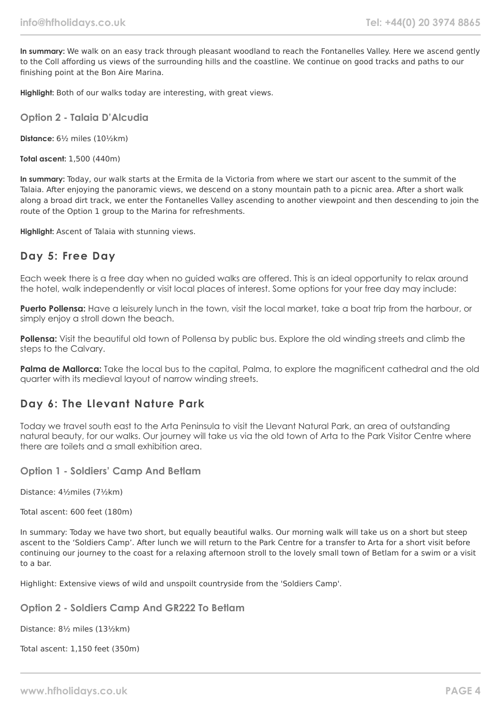**In summary:** We walk on an easy track through pleasant woodland to reach the Fontanelles Valley. Here we ascend gently to the Coll affording us views of the surrounding hills and the coastline. We continue on good tracks and paths to our finishing point at the Bon Aire Marina.

**Highlight:** Both of our walks today are interesting, with great views.

**Option 2 - Talaia D'Alcudia**

**Distance:** 6½ miles (10½km)

**Total ascent:** 1,500 (440m)

**In summary:** Today, our walk starts at the Ermita de la Victoria from where we start our ascent to the summit of the Talaia. After enjoying the panoramic views, we descend on a stony mountain path to a picnic area. After a short walk along a broad dirt track, we enter the Fontanelles Valley ascending to another viewpoint and then descending to join the route of the Option 1 group to the Marina for refreshments.

**Highlight:** Ascent of Talaia with stunning views.

#### **Day 5: Free Day**

Each week there is a free day when no guided walks are offered. This is an ideal opportunity to relax around the hotel, walk independently or visit local places of interest. Some options for your free day may include:

**Puerto Pollensa:** Have a leisurely lunch in the town, visit the local market, take a boat trip from the harbour, or simply enjoy a stroll down the beach.

**Pollensa:** Visit the beautiful old town of Pollensa by public bus. Explore the old winding streets and climb the steps to the Calvary.

**Palma de Mallorca:** Take the local bus to the capital, Palma, to explore the magnificent cathedral and the old quarter with its medieval layout of narrow winding streets.

#### **Day 6: The Llevant Nature Park**

Today we travel south east to the Arta Peninsula to visit the Llevant Natural Park, an area of outstanding natural beauty, for our walks. Our journey will take us via the old town of Arta to the Park Visitor Centre where there are toilets and a small exhibition area.

#### **Option 1 - Soldiers' Camp And Betlam**

Distance: 4½miles (7½km)

Total ascent: 600 feet (180m)

In summary: Today we have two short, but equally beautiful walks. Our morning walk will take us on a short but steep ascent to the 'Soldiers Camp'. After lunch we will return to the Park Centre for a transfer to Arta for a short visit before continuing our journey to the coast for a relaxing afternoon stroll to the lovely small town of Betlam for a swim or a visit to a bar.

Highlight: Extensive views of wild and unspoilt countryside from the 'Soldiers Camp'.

**Option 2 - Soldiers Camp And GR222 To Betlam**

Distance: 8½ miles (13½km)

Total ascent: 1,150 feet (350m)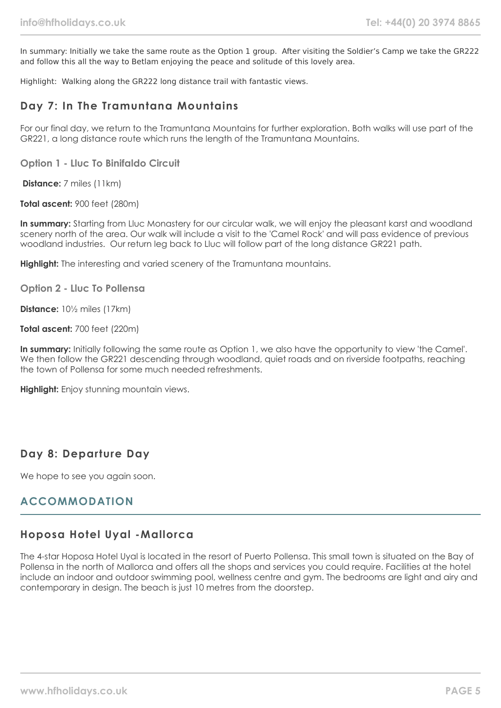In summary: Initially we take the same route as the Option 1 group. After visiting the Soldier's Camp we take the GR222 and follow this all the way to Betlam enjoying the peace and solitude of this lovely area.

Highlight: Walking along the GR222 long distance trail with fantastic views.

#### **Day 7: In The Tramuntana Mountains**

For our final day, we return to the Tramuntana Mountains for further exploration. Both walks will use part of the GR221, a long distance route which runs the length of the Tramuntana Mountains.

**Option 1 - Lluc To Binifaldo Circuit**

**Distance:** 7 miles (11km)

**Total ascent:** 900 feet (280m)

**In summary:** Starting from Lluc Monastery for our circular walk, we will enjoy the pleasant karst and woodland scenery north of the area. Our walk will include a visit to the 'Camel Rock' and will pass evidence of previous woodland industries. Our return leg back to Lluc will follow part of the long distance GR221 path.

**Highlight:** The interesting and varied scenery of the Tramuntana mountains.

**Option 2 - Lluc To Pollensa**

**Distance:** 10½ miles (17km)

**Total ascent:** 700 feet (220m)

**In summary:** Initially following the same route as Option 1, we also have the opportunity to view 'the Camel'. We then follow the GR221 descending through woodland, quiet roads and on riverside footpaths, reaching the town of Pollensa for some much needed refreshments.

**Highlight:** Enjoy stunning mountain views.

#### **Day 8: Departure Day**

We hope to see you again soon.

## **ACCOMMODATION**

#### **Hoposa Hotel Uyal -Mallorca**

The 4-star Hoposa Hotel Uyal is located in the resort of Puerto Pollensa. This small town is situated on the Bay of Pollensa in the north of Mallorca and offers all the shops and services you could require. Facilities at the hotel include an indoor and outdoor swimming pool, wellness centre and gym. The bedrooms are light and airy and contemporary in design. The beach is just 10 metres from the doorstep.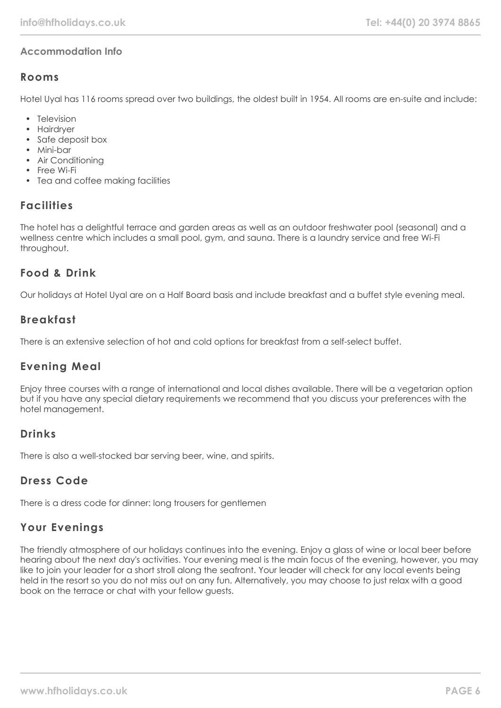#### **Accommodation Info**

#### **Rooms**

Hotel Uyal has 116 rooms spread over two buildings, the oldest built in 1954. All rooms are en-suite and include:

- Television
- Hairdryer
- Safe deposit box
- Mini-bar
- Air Conditioning
- Free Wi-Fi
- Tea and coffee making facilities

## **Facilities**

The hotel has a delightful terrace and garden areas as well as an outdoor freshwater pool (seasonal) and a wellness centre which includes a small pool, gym, and sauna. There is a laundry service and free Wi-Fi throughout.

#### **Food & Drink**

Our holidays at Hotel Uyal are on a Half Board basis and include breakfast and a buffet style evening meal.

## **Breakfast**

There is an extensive selection of hot and cold options for breakfast from a self-select buffet.

## **Evening Meal**

Enjoy three courses with a range of international and local dishes available. There will be a vegetarian option but if you have any special dietary requirements we recommend that you discuss your preferences with the hotel management.

## **Drinks**

There is also a well-stocked bar serving beer, wine, and spirits.

## **Dress Code**

There is a dress code for dinner: long trousers for gentlemen

## **Your Evenings**

The friendly atmosphere of our holidays continues into the evening. Enjoy a glass of wine or local beer before hearing about the next day's activities. Your evening meal is the main focus of the evening, however, you may like to join your leader for a short stroll along the seafront. Your leader will check for any local events being held in the resort so you do not miss out on any fun. Alternatively, you may choose to just relax with a good book on the terrace or chat with your fellow guests.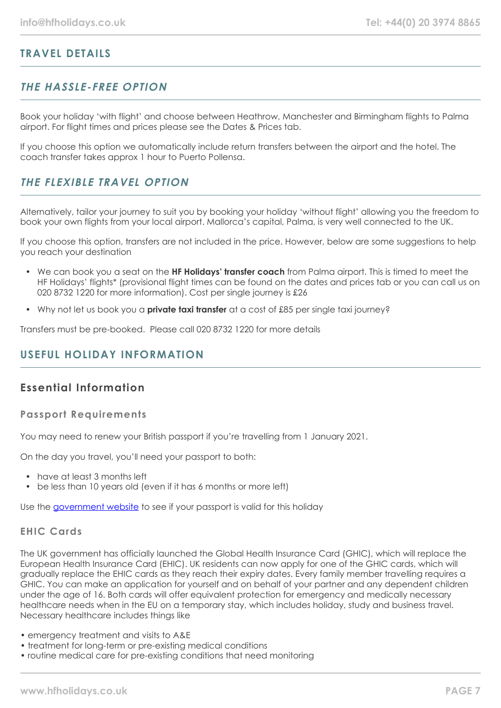## **TRAVEL DETAILS**

# **THE HASSLE-FREE OPTION**

Book your holiday 'with flight' and choose between Heathrow, Manchester and Birmingham flights to Palma airport. For flight times and prices please see the Dates & Prices tab.

If you choose this option we automatically include return transfers between the airport and the hotel. The coach transfer takes approx 1 hour to Puerto Pollensa.

## **THE FLEXIBLE TRAVEL OPTION**

Alternatively, tailor your journey to suit you by booking your holiday 'without flight' allowing you the freedom to book your own flights from your local airport. Mallorca's capital, Palma, is very well connected to the UK.

If you choose this option, transfers are not included in the price. However, below are some suggestions to help you reach your destination

- We can book you a seat on the **HF Holidays' transfer coach** from Palma airport. This is timed to meet the HF Holidays' flights\* (provisional flight times can be found on the dates and prices tab or you can call us on 020 8732 1220 for more information). Cost per single journey is £26
- Why not let us book you a **private taxi transfer** at a cost of £85 per single taxi journey?

Transfers must be pre-booked. Please call 020 8732 1220 for more details

## **USEFUL HOLIDAY INFORMATION**

## **Essential Information**

#### **Passport Requirements**

You may need to renew your British passport if you're travelling from 1 January 2021.

On the day you travel, you'll need your passport to both:

- have at least 3 months left
- be less than 10 years old (even if it has 6 months or more left)

Use the [government website](https://www.gov.uk/check-a-passport-travel-europe-1-january-2021) to see if your passport is valid for this holiday

#### **EHIC Cards**

The UK government has officially launched the Global Health Insurance Card (GHIC), which will replace the European Health Insurance Card (EHIC). UK residents can now apply for one of the GHIC cards, which will gradually replace the EHIC cards as they reach their expiry dates. Every family member travelling requires a GHIC. You can make an application for yourself and on behalf of your partner and any dependent children under the age of 16. Both cards will offer equivalent protection for emergency and medically necessary healthcare needs when in the EU on a temporary stay, which includes holiday, study and business travel. Necessary healthcare includes things like

- emergency treatment and visits to A&E
- treatment for long-term or pre-existing medical conditions
- routine medical care for pre-existing conditions that need monitoring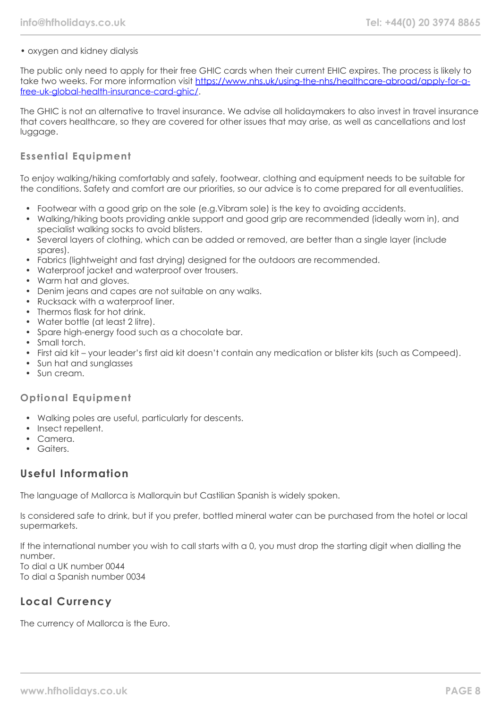#### • oxygen and kidney dialysis

The public only need to apply for their free GHIC cards when their current EHIC expires. The process is likely to take two weeks. For more information visit [https://www.nhs.uk/using-the-nhs/healthcare-abroad/apply-for-a](https://www.nhs.uk/using-the-nhs/healthcare-abroad/apply-for-a-free-uk-global-health-insurance-card-ghic/)[free-uk-global-health-insurance-card-ghic/.](https://www.nhs.uk/using-the-nhs/healthcare-abroad/apply-for-a-free-uk-global-health-insurance-card-ghic/)

The GHIC is not an alternative to travel insurance. We advise all holidaymakers to also invest in travel insurance that covers healthcare, so they are covered for other issues that may arise, as well as cancellations and lost luggage.

#### **Essential Equipment**

To enjoy walking/hiking comfortably and safely, footwear, clothing and equipment needs to be suitable for the conditions. Safety and comfort are our priorities, so our advice is to come prepared for all eventualities.

- Footwear with a good grip on the sole (e.g.Vibram sole) is the key to avoiding accidents.
- Walking/hiking boots providing ankle support and good grip are recommended (ideally worn in), and specialist walking socks to avoid blisters.
- Several layers of clothing, which can be added or removed, are better than a single layer (include spares).
- Fabrics (lightweight and fast drying) designed for the outdoors are recommended.
- Waterproof jacket and waterproof over trousers.
- Warm hat and aloves.
- Denim jeans and capes are not suitable on any walks.
- Rucksack with a waterproof liner.
- Thermos flask for hot drink.
- Water bottle (at least 2 litre).
- Spare high-energy food such as a chocolate bar.
- Small torch.
- First aid kit your leader's first aid kit doesn't contain any medication or blister kits (such as Compeed).
- Sun hat and sunglasses
- Sun cream.

#### **Optional Equipment**

- Walking poles are useful, particularly for descents.
- Insect repellent.
- Camera.
- Gaiters.

## **Useful Information**

The language of Mallorca is Mallorquin but Castilian Spanish is widely spoken.

Is considered safe to drink, but if you prefer, bottled mineral water can be purchased from the hotel or local supermarkets.

If the international number you wish to call starts with a 0, you must drop the starting digit when dialling the number. To dial a UK number 0044

To dial a Spanish number 0034

# **Local Currency**

The currency of Mallorca is the Euro.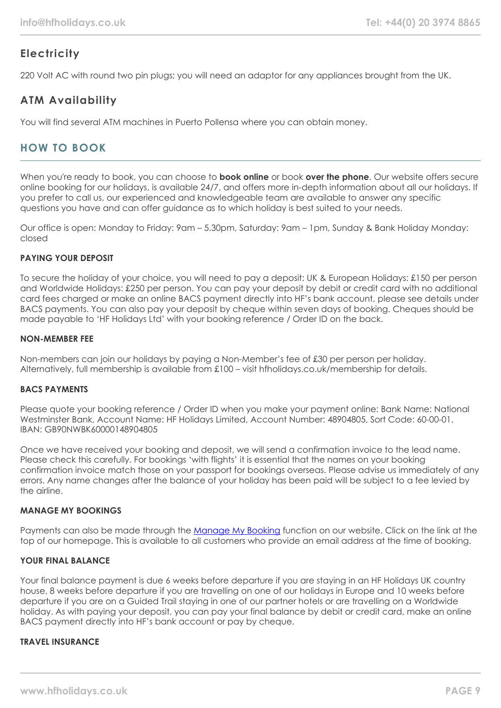# **Electricity**

220 Volt AC with round two pin plugs; you will need an adaptor for any appliances brought from the UK.

# **ATM Availability**

You will find several ATM machines in Puerto Pollensa where you can obtain money.

# **HOW TO BOOK**

When you're ready to book, you can choose to **book online** or book **over the phone**. Our website offers secure online booking for our holidays, is available 24/7, and offers more in-depth information about all our holidays. If you prefer to call us, our experienced and knowledgeable team are available to answer any specific questions you have and can offer guidance as to which holiday is best suited to your needs.

Our office is open: Monday to Friday: 9am – 5.30pm, Saturday: 9am – 1pm, Sunday & Bank Holiday Monday: closed

#### **PAYING YOUR DEPOSIT**

To secure the holiday of your choice, you will need to pay a deposit: UK & European Holidays: £150 per person and Worldwide Holidays: £250 per person. You can pay your deposit by debit or credit card with no additional card fees charged or make an online BACS payment directly into HF's bank account, please see details under BACS payments. You can also pay your deposit by cheque within seven days of booking. Cheques should be made payable to 'HF Holidays Ltd' with your booking reference / Order ID on the back.

#### **NON-MEMBER FEE**

Non-members can join our holidays by paying a Non-Member's fee of £30 per person per holiday. Alternatively, full membership is available from £100 – visit hfholidays.co.uk/membership for details.

#### **BACS PAYMENTS**

Please quote your booking reference / Order ID when you make your payment online: Bank Name: National Westminster Bank, Account Name: HF Holidays Limited, Account Number: 48904805, Sort Code: 60-00-01, IBAN: GB90NWBK60000148904805

Once we have received your booking and deposit, we will send a confirmation invoice to the lead name. Please check this carefully. For bookings 'with flights' it is essential that the names on your booking confirmation invoice match those on your passport for bookings overseas. Please advise us immediately of any errors. Any name changes after the balance of your holiday has been paid will be subject to a fee levied by the airline.

#### **MANAGE MY BOOKINGS**

Payments can also be made through the [Manage My Booking](https://www.hfholidays.co.uk/about-us/bookings/my-booking) function on our website. Click on the link at the top of our homepage. This is available to all customers who provide an email address at the time of booking.

#### **YOUR FINAL BALANCE**

Your final balance payment is due 6 weeks before departure if you are staying in an HF Holidays UK country house, 8 weeks before departure if you are travelling on one of our holidays in Europe and 10 weeks before departure if you are on a Guided Trail staying in one of our partner hotels or are travelling on a Worldwide holiday. As with paying your deposit, you can pay your final balance by debit or credit card, make an online BACS payment directly into HF's bank account or pay by cheque.

#### **TRAVEL INSURANCE**